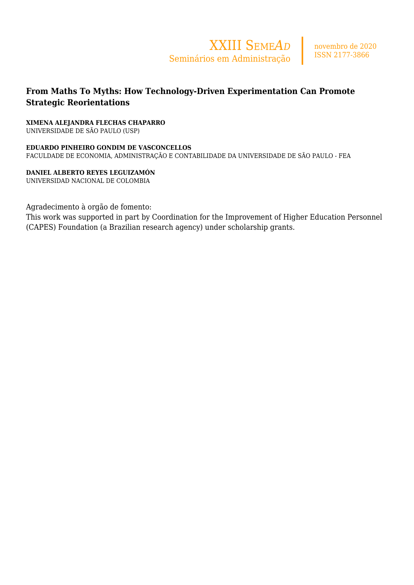

# **From Maths To Myths: How Technology-Driven Experimentation Can Promote Strategic Reorientations**

## **XIMENA ALEJANDRA FLECHAS CHAPARRO**

UNIVERSIDADE DE SÃO PAULO (USP)

**EDUARDO PINHEIRO GONDIM DE VASCONCELLOS** FACULDADE DE ECONOMIA, ADMINISTRAÇÃO E CONTABILIDADE DA UNIVERSIDADE DE SÃO PAULO - FEA

**DANIEL ALBERTO REYES LEGUIZAMÓN** UNIVERSIDAD NACIONAL DE COLOMBIA

Agradecimento à orgão de fomento:

This work was supported in part by Coordination for the Improvement of Higher Education Personnel (CAPES) Foundation (a Brazilian research agency) under scholarship grants.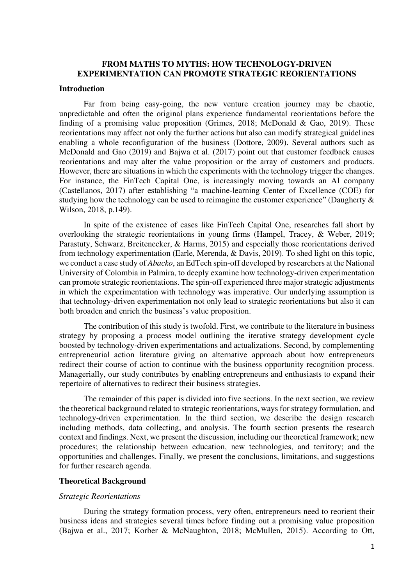## **FROM MATHS TO MYTHS: HOW TECHNOLOGY-DRIVEN EXPERIMENTATION CAN PROMOTE STRATEGIC REORIENTATIONS**

### **Introduction**

Far from being easy-going, the new venture creation journey may be chaotic, unpredictable and often the original plans experience fundamental reorientations before the finding of a promising value proposition (Grimes, 2018; McDonald & Gao, 2019). These reorientations may affect not only the further actions but also can modify strategical guidelines enabling a whole reconfiguration of the business (Dottore, 2009). Several authors such as McDonald and Gao (2019) and Bajwa et al. (2017) point out that customer feedback causes reorientations and may alter the value proposition or the array of customers and products. However, there are situations in which the experiments with the technology trigger the changes. For instance, the FinTech Capital One, is increasingly moving towards an AI company (Castellanos, 2017) after establishing "a machine-learning Center of Excellence (COE) for studying how the technology can be used to reimagine the customer experience" (Daugherty & Wilson, 2018, p.149).

In spite of the existence of cases like FinTech Capital One, researches fall short by overlooking the strategic reorientations in young firms (Hampel, Tracey, & Weber, 2019; Parastuty, Schwarz, Breitenecker, & Harms, 2015) and especially those reorientations derived from technology experimentation (Earle, Merenda, & Davis, 2019). To shed light on this topic, we conduct a case study of *Abacko*, an EdTech spin-off developed by researchers at the National University of Colombia in Palmira, to deeply examine how technology-driven experimentation can promote strategic reorientations. The spin-off experienced three major strategic adjustments in which the experimentation with technology was imperative. Our underlying assumption is that technology-driven experimentation not only lead to strategic reorientations but also it can both broaden and enrich the business's value proposition.

The contribution of this study is twofold. First, we contribute to the literature in business strategy by proposing a process model outlining the iterative strategy development cycle boosted by technology-driven experimentations and actualizations. Second, by complementing entrepreneurial action literature giving an alternative approach about how entrepreneurs redirect their course of action to continue with the business opportunity recognition process. Managerially, our study contributes by enabling entrepreneurs and enthusiasts to expand their repertoire of alternatives to redirect their business strategies.

The remainder of this paper is divided into five sections. In the next section, we review the theoretical background related to strategic reorientations, ways for strategy formulation, and technology-driven experimentation. In the third section, we describe the design research including methods, data collecting, and analysis. The fourth section presents the research context and findings. Next, we present the discussion, including our theoretical framework; new procedures; the relationship between education, new technologies, and territory; and the opportunities and challenges. Finally, we present the conclusions, limitations, and suggestions for further research agenda.

#### **Theoretical Background**

#### *Strategic Reorientations*

During the strategy formation process, very often, entrepreneurs need to reorient their business ideas and strategies several times before finding out a promising value proposition (Bajwa et al., 2017; Korber & McNaughton, 2018; McMullen, 2015). According to Ott,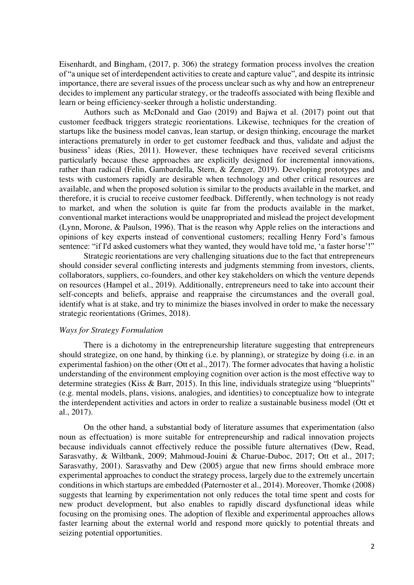Eisenhardt, and Bingham, (2017, p. 306) the strategy formation process involves the creation of "a unique set of interdependent activities to create and capture value", and despite its intrinsic importance, there are several issues of the process unclear such as why and how an entrepreneur decides to implement any particular strategy, or the tradeoffs associated with being flexible and learn or being efficiency-seeker through a holistic understanding.

Authors such as McDonald and Gao (2019) and Bajwa et al. (2017) point out that customer feedback triggers strategic reorientations. Likewise, techniques for the creation of startups like the business model canvas, lean startup, or design thinking, encourage the market interactions prematurely in order to get customer feedback and thus, validate and adjust the business' ideas (Ries, 2011). However, these techniques have received several criticisms particularly because these approaches are explicitly designed for incremental innovations, rather than radical (Felin, Gambardella, Stern, & Zenger, 2019). Developing prototypes and tests with customers rapidly are desirable when technology and other critical resources are available, and when the proposed solution is similar to the products available in the market, and therefore, it is crucial to receive customer feedback. Differently, when technology is not ready to market, and when the solution is quite far from the products available in the market, conventional market interactions would be unappropriated and mislead the project development (Lynn, Morone, & Paulson, 1996). That is the reason why Apple relies on the interactions and opinions of key experts instead of conventional customers; recalling Henry Ford's famous sentence: "if I'd asked customers what they wanted, they would have told me, 'a faster horse'!"

Strategic reorientations are very challenging situations due to the fact that entrepreneurs should consider several conflicting interests and judgments stemming from investors, clients, collaborators, suppliers, co-founders, and other key stakeholders on which the venture depends on resources (Hampel et al., 2019). Additionally, entrepreneurs need to take into account their self-concepts and beliefs, appraise and reappraise the circumstances and the overall goal, identify what is at stake, and try to minimize the biases involved in order to make the necessary strategic reorientations (Grimes, 2018).

## *Ways for Strategy Formulation*

There is a dichotomy in the entrepreneurship literature suggesting that entrepreneurs should strategize, on one hand, by thinking (i.e. by planning), or strategize by doing (i.e. in an experimental fashion) on the other (Ott et al., 2017). The former advocates that having a holistic understanding of the environment employing cognition over action is the most effective way to determine strategies (Kiss & Barr, 2015). In this line, individuals strategize using "blueprints" (e.g. mental models, plans, visions, analogies, and identities) to conceptualize how to integrate the interdependent activities and actors in order to realize a sustainable business model (Ott et al., 2017).

On the other hand, a substantial body of literature assumes that experimentation (also noun as effectuation) is more suitable for entrepreneurship and radical innovation projects because individuals cannot effectively reduce the possible future alternatives (Dew, Read, Sarasvathy, & Wiltbank, 2009; Mahmoud-Jouini & Charue-Duboc, 2017; Ott et al., 2017; Sarasvathy, 2001). Sarasvathy and Dew (2005) argue that new firms should embrace more experimental approaches to conduct the strategy process, largely due to the extremely uncertain conditions in which startups are embedded (Paternoster et al., 2014). Moreover, Thomke (2008) suggests that learning by experimentation not only reduces the total time spent and costs for new product development, but also enables to rapidly discard dysfunctional ideas while focusing on the promising ones. The adoption of flexible and experimental approaches allows faster learning about the external world and respond more quickly to potential threats and seizing potential opportunities.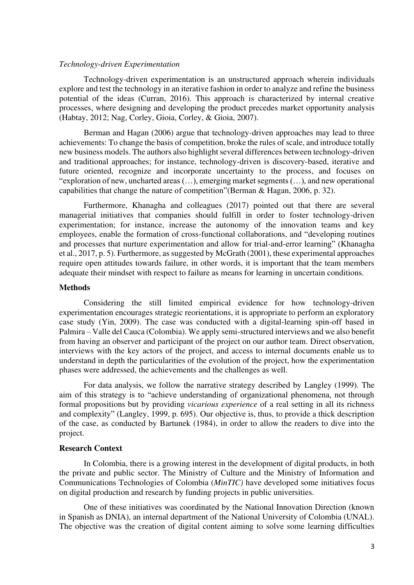### *Technology-driven Experimentation*

Technology-driven experimentation is an unstructured approach wherein individuals explore and test the technology in an iterative fashion in order to analyze and refine the business potential of the ideas (Curran, 2016). This approach is characterized by internal creative processes, where designing and developing the product precedes market opportunity analysis (Habtay, 2012; Nag, Corley, Gioia, Corley, & Gioia, 2007).

Berman and Hagan (2006) argue that technology-driven approaches may lead to three achievements: To change the basis of competition, broke the rules of scale, and introduce totally new business models. The authors also highlight several differences between technology-driven and traditional approaches; for instance, technology-driven is discovery-based, iterative and future oriented, recognize and incorporate uncertainty to the process, and focuses on "exploration of new, uncharted areas (…), emerging market segments (…), and new operational capabilities that change the nature of competition"(Berman & Hagan, 2006, p. 32).

Furthermore, Khanagha and colleagues (2017) pointed out that there are several managerial initiatives that companies should fulfill in order to foster technology-driven experimentation; for instance, increase the autonomy of the innovation teams and key employees, enable the formation of cross-functional collaborations, and "developing routines and processes that nurture experimentation and allow for trial-and-error learning" (Khanagha et al., 2017, p. 5). Furthermore, as suggested by McGrath (2001), these experimental approaches require open attitudes towards failure, in other words, it is important that the team members adequate their mindset with respect to failure as means for learning in uncertain conditions.

## **Methods**

Considering the still limited empirical evidence for how technology-driven experimentation encourages strategic reorientations, it is appropriate to perform an exploratory case study (Yin, 2009). The case was conducted with a digital-learning spin-off based in Palmira – Valle del Cauca (Colombia). We apply semi-structured interviews and we also benefit from having an observer and participant of the project on our author team. Direct observation, interviews with the key actors of the project, and access to internal documents enable us to understand in depth the particularities of the evolution of the project, how the experimentation phases were addressed, the achievements and the challenges as well.

For data analysis, we follow the narrative strategy described by Langley (1999). The aim of this strategy is to "achieve understanding of organizational phenomena, not through formal propositions but by providing *vicarious experience* of a real setting in all its richness and complexity" (Langley, 1999, p. 695). Our objective is, thus, to provide a thick description of the case, as conducted by Bartunek (1984), in order to allow the readers to dive into the project.

#### **Research Context**

In Colombia, there is a growing interest in the development of digital products, in both the private and public sector. The Ministry of Culture and the Ministry of Information and Communications Technologies of Colombia (*MinTIC)* have developed some initiatives focus on digital production and research by funding projects in public universities.

One of these initiatives was coordinated by the National Innovation Direction (known in Spanish as DNIA), an internal department of the National University of Colombia (UNAL). The objective was the creation of digital content aiming to solve some learning difficulties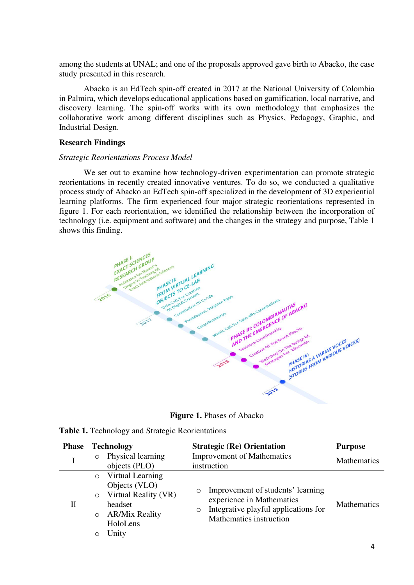among the students at UNAL; and one of the proposals approved gave birth to Abacko, the case study presented in this research.

Abacko is an EdTech spin-off created in 2017 at the National University of Colombia in Palmira, which develops educational applications based on gamification, local narrative, and discovery learning. The spin-off works with its own methodology that emphasizes the collaborative work among different disciplines such as Physics, Pedagogy, Graphic, and Industrial Design.

## **Research Findings**

### *Strategic Reorientations Process Model*

We set out to examine how technology-driven experimentation can promote strategic reorientations in recently created innovative ventures. To do so, we conducted a qualitative process study of Abacko an EdTech spin-off specialized in the development of 3D experiential learning platforms. The firm experienced four major strategic reorientations represented in figure 1. For each reorientation, we identified the relationship between the incorporation of technology (i.e. equipment and software) and the changes in the strategy and purpose, Table 1 shows this finding.



**Figure 1.** Phases of Abacko

| <b>Phase</b> | <b>Technology</b>  |                                                                                                           | <b>Strategic (Re) Orientation</b>                |                                                                                                                                   | <b>Purpose</b>     |
|--------------|--------------------|-----------------------------------------------------------------------------------------------------------|--------------------------------------------------|-----------------------------------------------------------------------------------------------------------------------------------|--------------------|
|              |                    | Physical learning<br>objects (PLO)                                                                        | <b>Improvement of Mathematics</b><br>instruction |                                                                                                                                   | <b>Mathematics</b> |
|              | $\circ$<br>$\circ$ | Virtual Learning<br>Objects (VLO)<br>Virtual Reality (VR)<br>headset<br><b>AR/Mix Reality</b><br>HoloLens | $\circ$<br>$\circ$                               | Improvement of students' learning<br>experience in Mathematics<br>Integrative playful applications for<br>Mathematics instruction | <b>Mathematics</b> |
|              |                    | Unity                                                                                                     |                                                  |                                                                                                                                   |                    |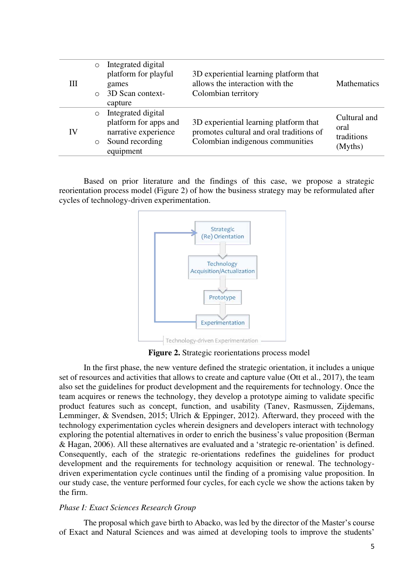| Ш  | $\circ$ | Integrated digital<br>platform for playful | 3D experiential learning platform that   | <b>Mathematics</b> |
|----|---------|--------------------------------------------|------------------------------------------|--------------------|
|    |         | games                                      | allows the interaction with the          |                    |
|    | $\circ$ | 3D Scan context-                           | Colombian territory                      |                    |
|    |         | capture                                    |                                          |                    |
| IV | $\circ$ | Integrated digital                         |                                          | Cultural and       |
|    |         | platform for apps and                      | 3D experiential learning platform that   |                    |
|    | $\circ$ | narrative experience                       | promotes cultural and oral traditions of | oral<br>traditions |
|    |         | Sound recording                            | Colombian indigenous communities         | (Myths)            |
|    |         | equipment                                  |                                          |                    |

Based on prior literature and the findings of this case, we propose a strategic reorientation process model (Figure 2) of how the business strategy may be reformulated after cycles of technology-driven experimentation.



**Figure 2.** Strategic reorientations process model

In the first phase, the new venture defined the strategic orientation, it includes a unique set of resources and activities that allows to create and capture value (Ott et al., 2017), the team also set the guidelines for product development and the requirements for technology. Once the team acquires or renews the technology, they develop a prototype aiming to validate specific product features such as concept, function, and usability (Tanev, Rasmussen, Zijdemans, Lemminger, & Svendsen, 2015; Ulrich & Eppinger, 2012). Afterward, they proceed with the technology experimentation cycles wherein designers and developers interact with technology exploring the potential alternatives in order to enrich the business's value proposition (Berman & Hagan, 2006). All these alternatives are evaluated and a 'strategic re-orientation' is defined. Consequently, each of the strategic re-orientations redefines the guidelines for product development and the requirements for technology acquisition or renewal. The technologydriven experimentation cycle continues until the finding of a promising value proposition. In our study case, the venture performed four cycles, for each cycle we show the actions taken by the firm.

### *Phase I: Exact Sciences Research Group*

The proposal which gave birth to Abacko, was led by the director of the Master's course of Exact and Natural Sciences and was aimed at developing tools to improve the students'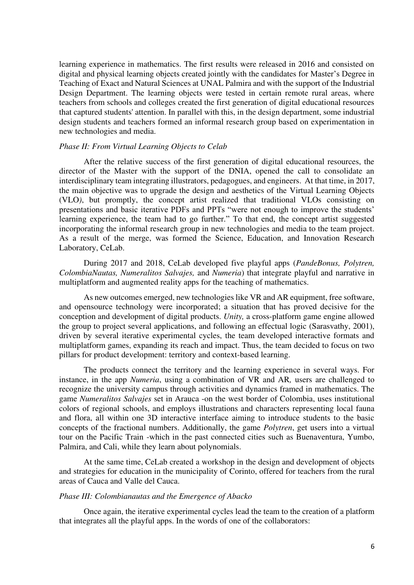learning experience in mathematics. The first results were released in 2016 and consisted on digital and physical learning objects created jointly with the candidates for Master's Degree in Teaching of Exact and Natural Sciences at UNAL Palmira and with the support of the Industrial Design Department. The learning objects were tested in certain remote rural areas, where teachers from schools and colleges created the first generation of digital educational resources that captured students' attention. In parallel with this, in the design department, some industrial design students and teachers formed an informal research group based on experimentation in new technologies and media.

#### *Phase II: From Virtual Learning Objects to Celab*

After the relative success of the first generation of digital educational resources, the director of the Master with the support of the DNIA, opened the call to consolidate an interdisciplinary team integrating illustrators, pedagogues, and engineers. At that time, in 2017, the main objective was to upgrade the design and aesthetics of the Virtual Learning Objects (VLO*)*, but promptly, the concept artist realized that traditional VLOs consisting on presentations and basic iterative PDFs and PPTs "were not enough to improve the students' learning experience, the team had to go further." To that end, the concept artist suggested incorporating the informal research group in new technologies and media to the team project. As a result of the merge, was formed the Science, Education, and Innovation Research Laboratory, CeLab.

During 2017 and 2018, CeLab developed five playful apps (*PandeBonus, Polytren, ColombiaNautas, Numeralitos Salvajes,* and *Numeria*) that integrate playful and narrative in multiplatform and augmented reality apps for the teaching of mathematics.

As new outcomes emerged, new technologies like VR and AR equipment, free software, and opensource technology were incorporated; a situation that has proved decisive for the conception and development of digital products. *Unity,* a cross-platform game engine allowed the group to project several applications, and following an effectual logic (Sarasvathy, 2001), driven by several iterative experimental cycles, the team developed interactive formats and multiplatform games, expanding its reach and impact. Thus, the team decided to focus on two pillars for product development: territory and context-based learning.

The products connect the territory and the learning experience in several ways. For instance, in the app *Numeria*, using a combination of VR and AR*,* users are challenged to recognize the university campus through activities and dynamics framed in mathematics. The game *Numeralitos Salvajes* set in Arauca -on the west border of Colombia, uses institutional colors of regional schools, and employs illustrations and characters representing local fauna and flora, all within one 3D interactive interface aiming to introduce students to the basic concepts of the fractional numbers. Additionally, the game *Polytren*, get users into a virtual tour on the Pacific Train -which in the past connected cities such as Buenaventura, Yumbo, Palmira, and Cali, while they learn about polynomials.

At the same time, CeLab created a workshop in the design and development of objects and strategies for education in the municipality of Corinto, offered for teachers from the rural areas of Cauca and Valle del Cauca.

#### *Phase III: Colombianautas and the Emergence of Abacko*

Once again, the iterative experimental cycles lead the team to the creation of a platform that integrates all the playful apps. In the words of one of the collaborators: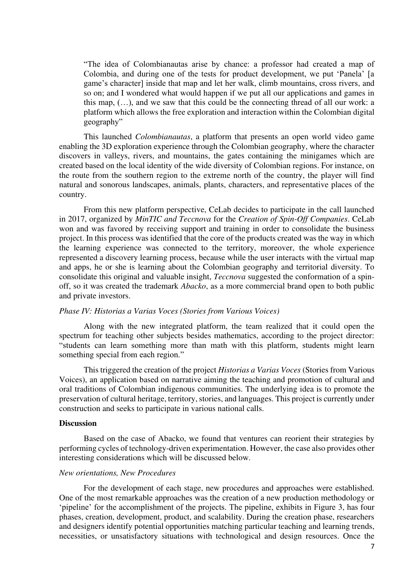"The idea of Colombianautas arise by chance: a professor had created a map of Colombia, and during one of the tests for product development, we put 'Panela' [a game's character] inside that map and let her walk, climb mountains, cross rivers, and so on; and I wondered what would happen if we put all our applications and games in this map, (…), and we saw that this could be the connecting thread of all our work: a platform which allows the free exploration and interaction within the Colombian digital geography"

This launched *Colombianautas*, a platform that presents an open world video game enabling the 3D exploration experience through the Colombian geography, where the character discovers in valleys, rivers, and mountains, the gates containing the minigames which are created based on the local identity of the wide diversity of Colombian regions. For instance, on the route from the southern region to the extreme north of the country, the player will find natural and sonorous landscapes, animals, plants, characters, and representative places of the country.

From this new platform perspective, CeLab decides to participate in the call launched in 2017, organized by *MinTIC and Teccnova* for the *Creation of Spin-Off Companies*. CeLab won and was favored by receiving support and training in order to consolidate the business project. In this process was identified that the core of the products created was the way in which the learning experience was connected to the territory, moreover, the whole experience represented a discovery learning process, because while the user interacts with the virtual map and apps, he or she is learning about the Colombian geography and territorial diversity. To consolidate this original and valuable insight, *Teccnova* suggested the conformation of a spinoff, so it was created the trademark *Abacko*, as a more commercial brand open to both public and private investors.

### *Phase IV: Historias a Varias Voces (Stories from Various Voices)*

Along with the new integrated platform, the team realized that it could open the spectrum for teaching other subjects besides mathematics, according to the project director: "students can learn something more than math with this platform, students might learn something special from each region."

This triggered the creation of the project *Historias a Varias Voces* (Stories from Various Voices), an application based on narrative aiming the teaching and promotion of cultural and oral traditions of Colombian indigenous communities. The underlying idea is to promote the preservation of cultural heritage, territory, stories, and languages. This project is currently under construction and seeks to participate in various national calls.

#### **Discussion**

Based on the case of Abacko, we found that ventures can reorient their strategies by performing cycles of technology-driven experimentation. However, the case also provides other interesting considerations which will be discussed below.

#### *New orientations, New Procedures*

 For the development of each stage, new procedures and approaches were established. One of the most remarkable approaches was the creation of a new production methodology or 'pipeline' for the accomplishment of the projects. The pipeline, exhibits in Figure 3, has four phases, creation, development, product, and scalability. During the creation phase, researchers and designers identify potential opportunities matching particular teaching and learning trends, necessities, or unsatisfactory situations with technological and design resources. Once the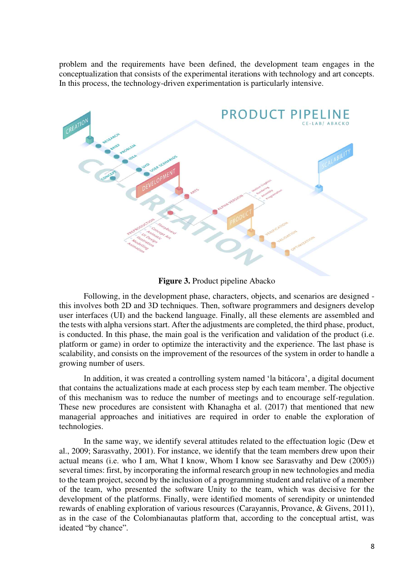problem and the requirements have been defined, the development team engages in the conceptualization that consists of the experimental iterations with technology and art concepts. In this process, the technology-driven experimentation is particularly intensive.



**Figure 3.** Product pipeline Abacko

Following, in the development phase, characters, objects, and scenarios are designed this involves both 2D and 3D techniques. Then, software programmers and designers develop user interfaces (UI) and the backend language. Finally, all these elements are assembled and the tests with alpha versions start. After the adjustments are completed, the third phase, product, is conducted. In this phase, the main goal is the verification and validation of the product (i.e. platform or game) in order to optimize the interactivity and the experience. The last phase is scalability, and consists on the improvement of the resources of the system in order to handle a growing number of users.

In addition, it was created a controlling system named 'la bitácora', a digital document that contains the actualizations made at each process step by each team member. The objective of this mechanism was to reduce the number of meetings and to encourage self-regulation. These new procedures are consistent with Khanagha et al. (2017) that mentioned that new managerial approaches and initiatives are required in order to enable the exploration of technologies.

In the same way, we identify several attitudes related to the effectuation logic (Dew et al., 2009; Sarasvathy, 2001). For instance, we identify that the team members drew upon their actual means (i.e. who I am, What I know, Whom I know see Sarasvathy and Dew (2005)) several times: first, by incorporating the informal research group in new technologies and media to the team project, second by the inclusion of a programming student and relative of a member of the team, who presented the software Unity to the team, which was decisive for the development of the platforms. Finally, were identified moments of serendipity or unintended rewards of enabling exploration of various resources (Carayannis, Provance, & Givens, 2011), as in the case of the Colombianautas platform that, according to the conceptual artist, was ideated "by chance".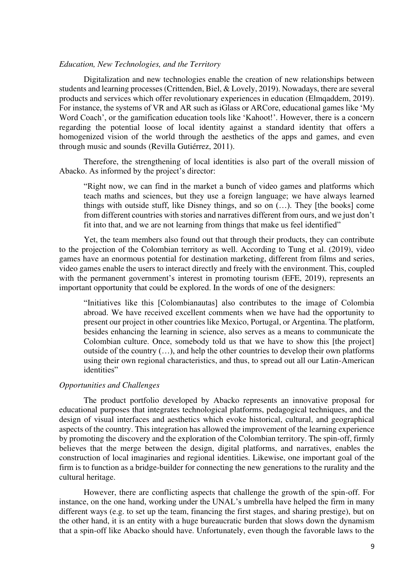## *Education, New Technologies, and the Territory*

Digitalization and new technologies enable the creation of new relationships between students and learning processes (Crittenden, Biel, & Lovely, 2019). Nowadays, there are several products and services which offer revolutionary experiences in education (Elmqaddem, 2019). For instance, the systems of VR and AR such as iGlass or ARCore, educational games like 'My Word Coach', or the gamification education tools like 'Kahoot!'. However, there is a concern regarding the potential loose of local identity against a standard identity that offers a homogenized vision of the world through the aesthetics of the apps and games, and even through music and sounds (Revilla Gutiérrez, 2011).

Therefore, the strengthening of local identities is also part of the overall mission of Abacko. As informed by the project's director:

"Right now, we can find in the market a bunch of video games and platforms which teach maths and sciences, but they use a foreign language; we have always learned things with outside stuff, like Disney things, and so on (…). They [the books] come from different countries with stories and narratives different from ours, and we just don't fit into that, and we are not learning from things that make us feel identified"

Yet, the team members also found out that through their products, they can contribute to the projection of the Colombian territory as well. According to Tung et al. (2019), video games have an enormous potential for destination marketing, different from films and series, video games enable the users to interact directly and freely with the environment. This, coupled with the permanent government's interest in promoting tourism (EFE, 2019), represents an important opportunity that could be explored. In the words of one of the designers:

"Initiatives like this [Colombianautas] also contributes to the image of Colombia abroad. We have received excellent comments when we have had the opportunity to present our project in other countries like Mexico, Portugal, or Argentina. The platform, besides enhancing the learning in science, also serves as a means to communicate the Colombian culture. Once, somebody told us that we have to show this [the project] outside of the country  $(...)$ , and help the other countries to develop their own platforms using their own regional characteristics, and thus, to spread out all our Latin-American identities"

### *Opportunities and Challenges*

The product portfolio developed by Abacko represents an innovative proposal for educational purposes that integrates technological platforms, pedagogical techniques, and the design of visual interfaces and aesthetics which evoke historical, cultural, and geographical aspects of the country. This integration has allowed the improvement of the learning experience by promoting the discovery and the exploration of the Colombian territory. The spin-off, firmly believes that the merge between the design, digital platforms, and narratives, enables the construction of local imaginaries and regional identities. Likewise, one important goal of the firm is to function as a bridge-builder for connecting the new generations to the rurality and the cultural heritage.

However, there are conflicting aspects that challenge the growth of the spin-off. For instance, on the one hand, working under the UNAL's umbrella have helped the firm in many different ways (e.g. to set up the team, financing the first stages, and sharing prestige), but on the other hand, it is an entity with a huge bureaucratic burden that slows down the dynamism that a spin-off like Abacko should have. Unfortunately, even though the favorable laws to the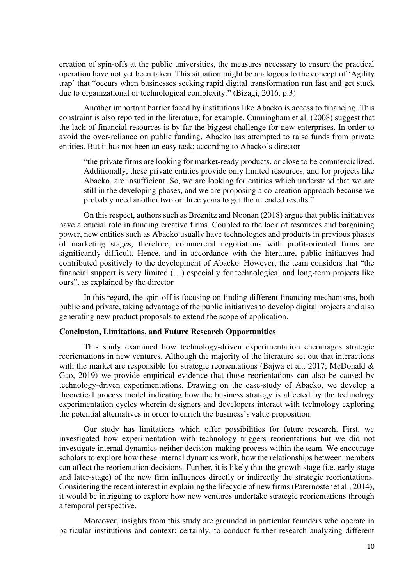creation of spin-offs at the public universities, the measures necessary to ensure the practical operation have not yet been taken. This situation might be analogous to the concept of 'Agility trap' that "occurs when businesses seeking rapid digital transformation run fast and get stuck due to organizational or technological complexity." (Bizagi, 2016, p.3)

Another important barrier faced by institutions like Abacko is access to financing. This constraint is also reported in the literature, for example, Cunningham et al. (2008) suggest that the lack of financial resources is by far the biggest challenge for new enterprises. In order to avoid the over-reliance on public funding, Abacko has attempted to raise funds from private entities. But it has not been an easy task; according to Abacko's director

"the private firms are looking for market-ready products, or close to be commercialized. Additionally, these private entities provide only limited resources, and for projects like Abacko, are insufficient. So, we are looking for entities which understand that we are still in the developing phases, and we are proposing a co-creation approach because we probably need another two or three years to get the intended results."

On this respect, authors such as Breznitz and Noonan (2018) argue that public initiatives have a crucial role in funding creative firms. Coupled to the lack of resources and bargaining power, new entities such as Abacko usually have technologies and products in previous phases of marketing stages, therefore, commercial negotiations with profit-oriented firms are significantly difficult. Hence, and in accordance with the literature, public initiatives had contributed positively to the development of Abacko. However, the team considers that "the financial support is very limited (…) especially for technological and long-term projects like ours", as explained by the director

In this regard, the spin-off is focusing on finding different financing mechanisms, both public and private, taking advantage of the public initiatives to develop digital projects and also generating new product proposals to extend the scope of application.

### **Conclusion, Limitations, and Future Research Opportunities**

This study examined how technology-driven experimentation encourages strategic reorientations in new ventures. Although the majority of the literature set out that interactions with the market are responsible for strategic reorientations (Bajwa et al., 2017; McDonald & Gao, 2019) we provide empirical evidence that those reorientations can also be caused by technology-driven experimentations. Drawing on the case-study of Abacko, we develop a theoretical process model indicating how the business strategy is affected by the technology experimentation cycles wherein designers and developers interact with technology exploring the potential alternatives in order to enrich the business's value proposition.

Our study has limitations which offer possibilities for future research. First, we investigated how experimentation with technology triggers reorientations but we did not investigate internal dynamics neither decision-making process within the team. We encourage scholars to explore how these internal dynamics work, how the relationships between members can affect the reorientation decisions. Further, it is likely that the growth stage (i.e. early-stage and later-stage) of the new firm influences directly or indirectly the strategic reorientations. Considering the recent interest in explaining the lifecycle of new firms (Paternoster et al., 2014), it would be intriguing to explore how new ventures undertake strategic reorientations through a temporal perspective.

Moreover, insights from this study are grounded in particular founders who operate in particular institutions and context; certainly, to conduct further research analyzing different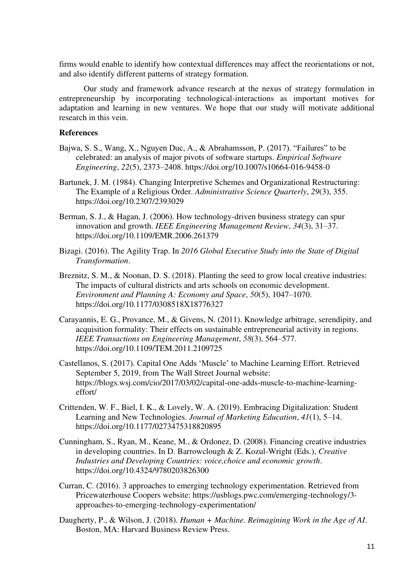firms would enable to identify how contextual differences may affect the reorientations or not, and also identify different patterns of strategy formation.

Our study and framework advance research at the nexus of strategy formulation in entrepreneurship by incorporating technological-interactions as important motives for adaptation and learning in new ventures. We hope that our study will motivate additional research in this vein.

## **References**

- Bajwa, S. S., Wang, X., Nguyen Duc, A., & Abrahamsson, P. (2017). "Failures" to be celebrated: an analysis of major pivots of software startups. *Empirical Software Engineering*, *22*(5), 2373–2408. https://doi.org/10.1007/s10664-016-9458-0
- Bartunek, J. M. (1984). Changing Interpretive Schemes and Organizational Restructuring: The Example of a Religious Order. *Administrative Science Quarterly*, *29*(3), 355. https://doi.org/10.2307/2393029
- Berman, S. J., & Hagan, J. (2006). How technology-driven business strategy can spur innovation and growth. *IEEE Engineering Management Review*, *34*(3), 31–37. https://doi.org/10.1109/EMR.2006.261379
- Bizagi. (2016). The Agility Trap. In *2016 Global Executive Study into the State of Digital Transformation*.
- Breznitz, S. M., & Noonan, D. S. (2018). Planting the seed to grow local creative industries: The impacts of cultural districts and arts schools on economic development. *Environment and Planning A: Economy and Space*, *50*(5), 1047–1070. https://doi.org/10.1177/0308518X18776327
- Carayannis, E. G., Provance, M., & Givens, N. (2011). Knowledge arbitrage, serendipity, and acquisition formality: Their effects on sustainable entrepreneurial activity in regions. *IEEE Transactions on Engineering Management*, *58*(3), 564–577. https://doi.org/10.1109/TEM.2011.2109725
- Castellanos, S. (2017). Capital One Adds 'Muscle' to Machine Learning Effort. Retrieved September 5, 2019, from The Wall Street Journal website: https://blogs.wsj.com/cio/2017/03/02/capital-one-adds-muscle-to-machine-learningeffort/
- Crittenden, W. F., Biel, I. K., & Lovely, W. A. (2019). Embracing Digitalization: Student Learning and New Technologies. *Journal of Marketing Education*, *41*(1), 5–14. https://doi.org/10.1177/0273475318820895
- Cunningham, S., Ryan, M., Keane, M., & Ordonez, D. (2008). Financing creative industries in developing countries. In D. Barrowclough & Z. Kozul-Wright (Eds.), *Creative Industries and Developing Countries: voice,choice and economic growth*. https://doi.org/10.4324/9780203826300
- Curran, C. (2016). 3 approaches to emerging technology experimentation. Retrieved from Pricewaterhouse Coopers website: https://usblogs.pwc.com/emerging-technology/3 approaches-to-emerging-technology-experimentation/
- Daugherty, P., & Wilson, J. (2018). *Human + Machine. Reimagining Work in the Age of AI*. Boston, MA: Harvard Business Review Press.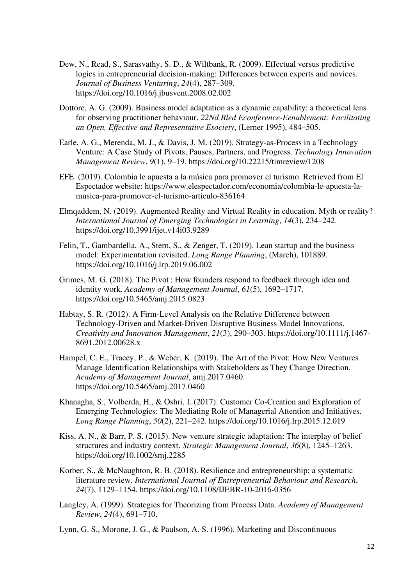- Dew, N., Read, S., Sarasvathy, S. D., & Wiltbank, R. (2009). Effectual versus predictive logics in entrepreneurial decision-making: Differences between experts and novices. *Journal of Business Venturing*, *24*(4), 287–309. https://doi.org/10.1016/j.jbusvent.2008.02.002
- Dottore, A. G. (2009). Business model adaptation as a dynamic capability: a theoretical lens for observing practitioner behaviour. *22Nd Bled Econference-Eenablement: Facilitating an Open, Effective and Representative Esociety*, (Lerner 1995), 484–505.
- Earle, A. G., Merenda, M. J., & Davis, J. M. (2019). Strategy-as-Process in a Technology Venture: A Case Study of Pivots, Pauses, Partners, and Progress. *Technology Innovation Management Review*, *9*(1), 9–19. https://doi.org/10.22215/timreview/1208
- EFE. (2019). Colombia le apuesta a la música para promover el turismo. Retrieved from El Espectador website: https://www.elespectador.com/economia/colombia-le-apuesta-lamusica-para-promover-el-turismo-articulo-836164
- Elmqaddem, N. (2019). Augmented Reality and Virtual Reality in education. Myth or reality? *International Journal of Emerging Technologies in Learning*, *14*(3), 234–242. https://doi.org/10.3991/ijet.v14i03.9289
- Felin, T., Gambardella, A., Stern, S., & Zenger, T. (2019). Lean startup and the business model: Experimentation revisited. *Long Range Planning*, (March), 101889. https://doi.org/10.1016/j.lrp.2019.06.002
- Grimes, M. G. (2018). The Pivot : How founders respond to feedback through idea and identity work. *Academy of Management Journal*, *61*(5), 1692–1717. https://doi.org/10.5465/amj.2015.0823
- Habtay, S. R. (2012). A Firm-Level Analysis on the Relative Difference between Technology-Driven and Market-Driven Disruptive Business Model Innovations. *Creativity and Innovation Management*, *21*(3), 290–303. https://doi.org/10.1111/j.1467- 8691.2012.00628.x
- Hampel, C. E., Tracey, P., & Weber, K. (2019). The Art of the Pivot: How New Ventures Manage Identification Relationships with Stakeholders as They Change Direction. *Academy of Management Journal*, amj.2017.0460. https://doi.org/10.5465/amj.2017.0460
- Khanagha, S., Volberda, H., & Oshri, I. (2017). Customer Co-Creation and Exploration of Emerging Technologies: The Mediating Role of Managerial Attention and Initiatives. *Long Range Planning*, *50*(2), 221–242. https://doi.org/10.1016/j.lrp.2015.12.019
- Kiss, A. N., & Barr, P. S. (2015). New venture strategic adaptation: The interplay of belief structures and industry context. *Strategic Management Journal*, *36*(8), 1245–1263. https://doi.org/10.1002/smj.2285
- Korber, S., & McNaughton, R. B. (2018). Resilience and entrepreneurship: a systematic literature review. *International Journal of Entrepreneurial Behaviour and Research*, *24*(7), 1129–1154. https://doi.org/10.1108/IJEBR-10-2016-0356
- Langley, A. (1999). Strategies for Theorizing from Process Data. *Academy of Management Review*, *24*(4), 691–710.

Lynn, G. S., Morone, J. G., & Paulson, A. S. (1996). Marketing and Discontinuous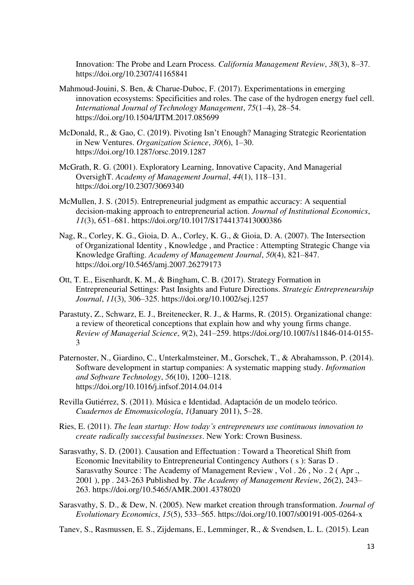Innovation: The Probe and Learn Process. *California Management Review*, *38*(3), 8–37. https://doi.org/10.2307/41165841

- Mahmoud-Jouini, S. Ben, & Charue-Duboc, F. (2017). Experimentations in emerging innovation ecosystems: Specificities and roles. The case of the hydrogen energy fuel cell. *International Journal of Technology Management*, *75*(1–4), 28–54. https://doi.org/10.1504/IJTM.2017.085699
- McDonald, R., & Gao, C. (2019). Pivoting Isn't Enough? Managing Strategic Reorientation in New Ventures. *Organization Science*, *30*(6), 1–30. https://doi.org/10.1287/orsc.2019.1287
- McGrath, R. G. (2001). Exploratory Learning, Innovative Capacity, And Managerial OversighT. *Academy of Management Journal*, *44*(1), 118–131. https://doi.org/10.2307/3069340
- McMullen, J. S. (2015). Entrepreneurial judgment as empathic accuracy: A sequential decision-making approach to entrepreneurial action. *Journal of Institutional Economics*, *11*(3), 651–681. https://doi.org/10.1017/S1744137413000386
- Nag, R., Corley, K. G., Gioia, D. A., Corley, K. G., & Gioia, D. A. (2007). The Intersection of Organizational Identity , Knowledge , and Practice : Attempting Strategic Change via Knowledge Grafting. *Academy of Management Journal*, *50*(4), 821–847. https://doi.org/10.5465/amj.2007.26279173
- Ott, T. E., Eisenhardt, K. M., & Bingham, C. B. (2017). Strategy Formation in Entrepreneurial Settings: Past Insights and Future Directions. *Strategic Entrepreneurship Journal*, *11*(3), 306–325. https://doi.org/10.1002/sej.1257
- Parastuty, Z., Schwarz, E. J., Breitenecker, R. J., & Harms, R. (2015). Organizational change: a review of theoretical conceptions that explain how and why young firms change. *Review of Managerial Science*, *9*(2), 241–259. https://doi.org/10.1007/s11846-014-0155- 3
- Paternoster, N., Giardino, C., Unterkalmsteiner, M., Gorschek, T., & Abrahamsson, P. (2014). Software development in startup companies: A systematic mapping study. *Information and Software Technology*, *56*(10), 1200–1218. https://doi.org/10.1016/j.infsof.2014.04.014
- Revilla Gutiérrez, S. (2011). Música e Identidad. Adaptación de un modelo teórico. *Cuadernos de Etnomusicología*, *1*(January 2011), 5–28.
- Ries, E. (2011). *The lean startup: How today's entrepreneurs use continuous innovation to create radically successful businesses*. New York: Crown Business.
- Sarasvathy, S. D. (2001). Causation and Effectuation : Toward a Theoretical Shift from Economic Inevitability to Entrepreneurial Contingency Authors ( s ): Saras D . Sarasvathy Source : The Academy of Management Review , Vol . 26 , No . 2 ( Apr ., 2001 ), pp . 243-263 Published by. *The Academy of Management Review*, *26*(2), 243– 263. https://doi.org/10.5465/AMR.2001.4378020
- Sarasvathy, S. D., & Dew, N. (2005). New market creation through transformation. *Journal of Evolutionary Economics*, *15*(5), 533–565. https://doi.org/10.1007/s00191-005-0264-x

Tanev, S., Rasmussen, E. S., Zijdemans, E., Lemminger, R., & Svendsen, L. L. (2015). Lean